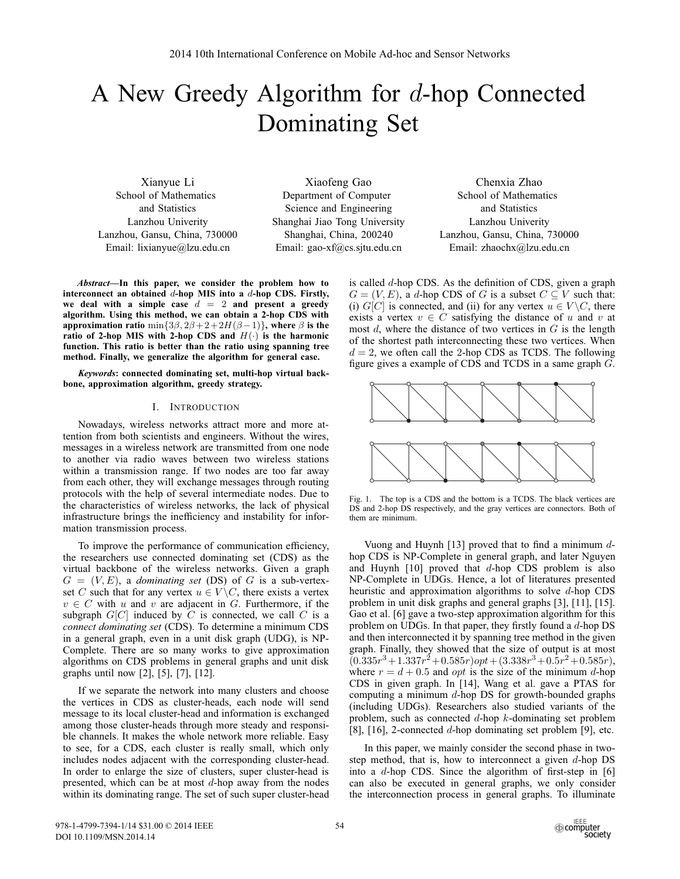# A New Greedy Algorithm for d-hop Connected Dominating Set

Xianyue Li School of Mathematics and Statistics Lanzhou Univerity Lanzhou, Gansu, China, 730000 Email: lixianyue@lzu.edu.cn

Xiaofeng Gao Department of Computer Science and Engineering Shanghai Jiao Tong University Shanghai, China, 200240 Email: gao-xf@cs.sjtu.edu.cn

Chenxia Zhao School of Mathematics and Statistics Lanzhou Univerity Lanzhou, Gansu, China, 730000 Email: zhaochx@lzu.edu.cn

*Abstract***—In this paper, we consider the problem how to interconnect an obtained** d**-hop MIS into a** d**-hop CDS. Firstly,** we deal with a simple case  $d = 2$  and present a greedy **algorithm. Using this method, we can obtain a 2-hop CDS with approximation ratio** min{ $3\beta$ ,  $2\beta + 2 + 2H(\beta - 1)$ }, where  $\beta$  is the **ratio of 2-hop MIS with 2-hop CDS and**  $H(\cdot)$  is the harmonic **function. This ratio is better than the ratio using spanning tree method. Finally, we generalize the algorithm for general case.**

*Keywords***: connected dominating set, multi-hop virtual backbone, approximation algorithm, greedy strategy.**

## I. INTRODUCTION

Nowadays, wireless networks attract more and more attention from both scientists and engineers. Without the wires, messages in a wireless network are transmitted from one node to another via radio waves between two wireless stations within a transmission range. If two nodes are too far away from each other, they will exchange messages through routing protocols with the help of several intermediate nodes. Due to the characteristics of wireless networks, the lack of physical infrastructure brings the inefficiency and instability for information transmission process.

To improve the performance of communication efficiency, the researchers use connected dominating set (CDS) as the virtual backbone of the wireless networks. Given a graph  $G = (V, E)$ , a *dominating set* (DS) of G is a sub-vertexset C such that for any vertex  $u \in V \backslash C$ , there exists a vertex  $v \in C$  with u and v are adjacent in G. Furthermore, if the subgraph  $G[C]$  induced by C is connected, we call C is a *connect dominating set* (CDS). To determine a minimum CDS in a general graph, even in a unit disk graph (UDG), is NP-Complete. There are so many works to give approximation algorithms on CDS problems in general graphs and unit disk graphs until now [2], [5], [7], [12].

If we separate the network into many clusters and choose the vertices in CDS as cluster-heads, each node will send message to its local cluster-head and information is exchanged among those cluster-heads through more steady and responsible channels. It makes the whole network more reliable. Easy to see, for a CDS, each cluster is really small, which only includes nodes adjacent with the corresponding cluster-head. In order to enlarge the size of clusters, super cluster-head is presented, which can be at most d-hop away from the nodes within its dominating range. The set of such super cluster-head is called d-hop CDS. As the definition of CDS, given a graph  $G = (V, E)$ , a d-hop CDS of G is a subset  $C \subseteq V$  such that: (i)  $G[C]$  is connected, and (ii) for any vertex  $u \in V \backslash C$ , there exists a vertex  $v \in C$  satisfying the distance of u and v at most  $d$ , where the distance of two vertices in  $G$  is the length of the shortest path interconnecting these two vertices. When  $d = 2$ , we often call the 2-hop CDS as TCDS. The following figure gives a example of CDS and TCDS in a same graph G.



Fig. 1. The top is a CDS and the bottom is a TCDS. The black vertices are DS and 2-hop DS respectively, and the gray vertices are connectors. Both of them are minimum.

Vuong and Huynh [13] proved that to find a minimum  $d$ hop CDS is NP-Complete in general graph, and later Nguyen and Huynh  $[10]$  proved that  $d$ -hop CDS problem is also NP-Complete in UDGs. Hence, a lot of literatures presented heuristic and approximation algorithms to solve d-hop CDS problem in unit disk graphs and general graphs [3], [11], [15]. Gao et al. [6] gave a two-step approximation algorithm for this problem on UDGs. In that paper, they firstly found a d-hop DS and then interconnected it by spanning tree method in the given graph. Finally, they showed that the size of output is at most  $(0.335r^3+1.337r^2+0.585r)$  opt +  $(3.338r^3+0.5r^2+0.585r)$ , where  $r = d + 0.5$  and *opt* is the size of the minimum d-hop CDS in given graph. In [14], Wang et al. gave a PTAS for computing a minimum d-hop DS for growth-bounded graphs (including UDGs). Researchers also studied variants of the problem, such as connected d-hop k-dominating set problem [8], [16], 2-connected d-hop dominating set problem [9], etc.

In this paper, we mainly consider the second phase in twostep method, that is, how to interconnect a given  $d$ -hop DS into a d-hop CDS. Since the algorithm of first-step in [6] can also be executed in general graphs, we only consider the interconnection process in general graphs. To illuminate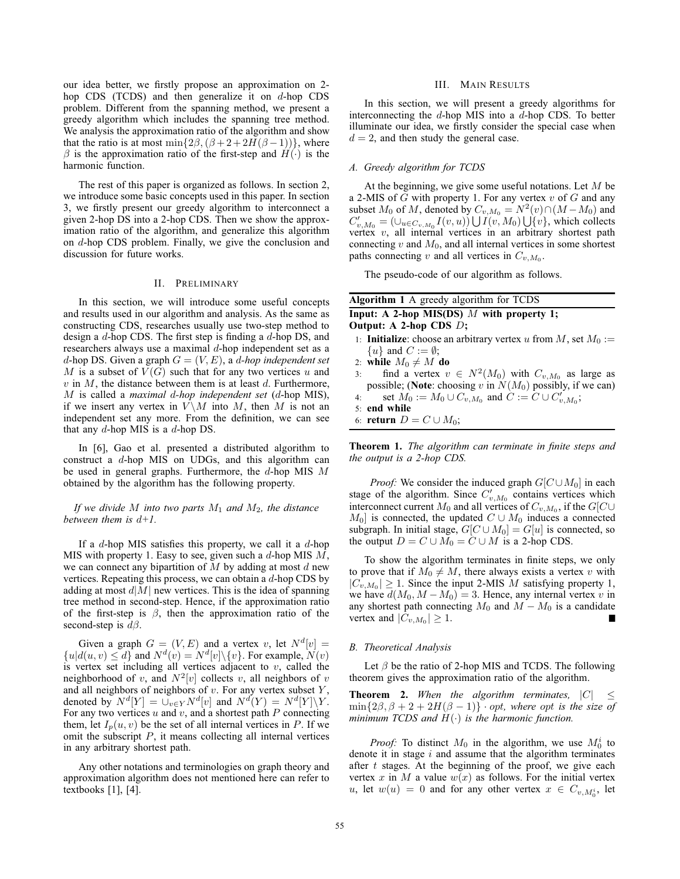our idea better, we firstly propose an approximation on 2 hop CDS (TCDS) and then generalize it on  $d$ -hop CDS problem. Different from the spanning method, we present a greedy algorithm which includes the spanning tree method. We analysis the approximation ratio of the algorithm and show that the ratio is at most min $\{2\beta, (\beta + 2 + 2H(\beta - 1))\}$ , where β is the approximation ratio of the first-step and  $H(·)$  is the harmonic function.

The rest of this paper is organized as follows. In section 2, we introduce some basic concepts used in this paper. In section 3, we firstly present our greedy algorithm to interconnect a given 2-hop DS into a 2-hop CDS. Then we show the approximation ratio of the algorithm, and generalize this algorithm on d-hop CDS problem. Finally, we give the conclusion and discussion for future works.

## II. PRELIMINARY

In this section, we will introduce some useful concepts and results used in our algorithm and analysis. As the same as constructing CDS, researches usually use two-step method to design a d-hop CDS. The first step is finding a d-hop DS, and researchers always use a maximal  $d$ -hop independent set as a d-hop DS. Given a graph  $G = (V, E)$ , a d-hop independent set M is a subset of  $V(G)$  such that for any two vertices u and  $v$  in  $M$ , the distance between them is at least  $d$ . Furthermore, M is called a *maximal* d*-hop independent set* (d-hop MIS), if we insert any vertex in  $V \backslash M$  into M, then M is not an independent set any more. From the definition, we can see that any  $d$ -hop MIS is a  $d$ -hop DS.

In [6], Gao et al. presented a distributed algorithm to construct a d-hop MIS on UDGs, and this algorithm can be used in general graphs. Furthermore, the  $d$ -hop MIS  $M$ obtained by the algorithm has the following property.

# *If we divide* M *into two parts* M<sup>1</sup> *and* M2*, the distance between them is* d*+1.*

If a  $d$ -hop MIS satisfies this property, we call it a  $d$ -hop MIS with property 1. Easy to see, given such a  $d$ -hop MIS  $M$ , we can connect any bipartition of  $M$  by adding at most  $d$  new vertices. Repeating this process, we can obtain a  $d$ -hop CDS by adding at most  $d|M|$  new vertices. This is the idea of spanning tree method in second-step. Hence, if the approximation ratio of the first-step is  $\beta$ , then the approximation ratio of the second-step is  $d\beta$ .

Given a graph  $G = (V, E)$  and a vertex v, let  $N<sup>d</sup>[v] =$  ${u|d(u, v) \le d}$  and  $N^d(v) = N^d[v] \setminus {v}$ . For example,  $N(v)$ is vertex set including all vertices adjacent to  $v$ , called the neighborhood of v, and  $N^2[v]$  collects v, all neighbors of v and all neighbors of neighbors of  $v$ . For any vertex subset  $Y$ , denoted by  $N^d[Y] = \bigcup_{v \in Y} N^d[v]$  and  $N^d(Y) = N^d[Y] \setminus Y$ . For any two vertices  $u$  and  $v$ , and a shortest path  $P$  connecting them, let  $I_p(u, v)$  be the set of all internal vertices in P. If we omit the subscript  $P$ , it means collecting all internal vertices in any arbitrary shortest path.

Any other notations and terminologies on graph theory and approximation algorithm does not mentioned here can refer to textbooks [1], [4].

## III. MAIN RESULTS

In this section, we will present a greedy algorithms for interconnecting the  $d$ -hop MIS into a  $d$ -hop CDS. To better illuminate our idea, we firstly consider the special case when  $d = 2$ , and then study the general case.

#### *A. Greedy algorithm for TCDS*

At the beginning, we give some useful notations. Let  $M$  be a 2-MIS of  $G$  with property 1. For any vertex  $v$  of  $G$  and any subset  $M_0$  of  $M$ , denoted by  $C_{v,M_0} = N^2(v) \cap (M - M_0)$  and  $C'_{v,M_0} = (\cup_{u \in C_{v,M_0}} I(v, u)) \bigcup I(v, M_0) \bigcup \{v\}$ , which collects vertex  $v$ , all internal vertices in an arbitrary shortest path connecting  $v$  and  $M_0$ , and all internal vertices in some shortest paths connecting v and all vertices in  $C_{v,M_0}$ .

The pseudo-code of our algorithm as follows.

| <b>Algorithm 1</b> A greedy algorithm for TCDS                                                                                                                                                                                   |  |  |  |              |  |
|----------------------------------------------------------------------------------------------------------------------------------------------------------------------------------------------------------------------------------|--|--|--|--------------|--|
| Input: A 2-hop MIS(DS) $M$ with property 1;                                                                                                                                                                                      |  |  |  |              |  |
| Output: A 2-hop CDS $D$ ;                                                                                                                                                                                                        |  |  |  |              |  |
| $\cdots$ . The second second to the second second second to the second second second second second second second second second second second second second second second second second second second second second second second |  |  |  | $\mathbf{r}$ |  |

- 1: **Initialize**: choose an arbitrary vertex u from M, set  $M_0 :=$  $\{u\}$  and  $C := \emptyset$ ;
- 2: **while**  $M_0 \neq M$  **do**
- 3: find a vertex  $v \in N^2(M_0)$  with  $C_{v,M_0}$  as large as possible; (Note: choosing v in  $N(M_0)$  possibly, if we can)
- 4: set  $M_0 := M_0 \cup C_{v,M_0}$  and  $C := C \cup C'_{v,M_0}$ ;
- 5: **end while**
- 6: **return**  $D = C \cup M_0$ ;

**Theorem 1.** *The algorithm can terminate in finite steps and the output is a 2-hop CDS.*

*Proof:* We consider the induced graph  $G[C \cup M_0]$  in each stage of the algorithm. Since  $C'_{v,M_0}$  contains vertices which interconnect current  $M_0$  and all vertices of  $C_{v,M_0}$ , if the  $G[C\cup$  $M_0$  is connected, the updated  $C \cup M_0$  induces a connected subgraph. In initial stage,  $G[C \cup M_0] = G[u]$  is connected, so the output  $D = C \cup M_0 = C \cup M$  is a 2-hop CDS.

To show the algorithm terminates in finite steps, we only to prove that if  $M_0 \neq M$ , there always exists a vertex v with  $|C_{v,M_0}| \geq 1$ . Since the input 2-MIS M satisfying property 1, we have  $d(M_0, M - M_0) = 3$ . Hence, any internal vertex v in any shortest path connecting  $M_0$  and  $M - M_0$  is a candidate vertex and  $|C_{v,M_0}| \geq 1$ .

## *B. Theoretical Analysis*

Let  $\beta$  be the ratio of 2-hop MIS and TCDS. The following theorem gives the approximation ratio of the algorithm.

**Theorem 2.** *When the algorithm terminates,*  $|C| \leq$  $\min\{2\beta, \beta + 2 + 2H(\beta - 1)\}\cdot opt$ , where opt is the size of *minimum TCDS and* H(·) *is the harmonic function.*

*Proof:* To distinct  $M_0$  in the algorithm, we use  $M_0^i$  to denote it in stage  $i$  and assume that the algorithm terminates after  $t$  stages. At the beginning of the proof, we give each vertex x in M a value  $w(x)$  as follows. For the initial vertex u, let  $w(u) = 0$  and for any other vertex  $x \in C_{v, M_0^i}$ , let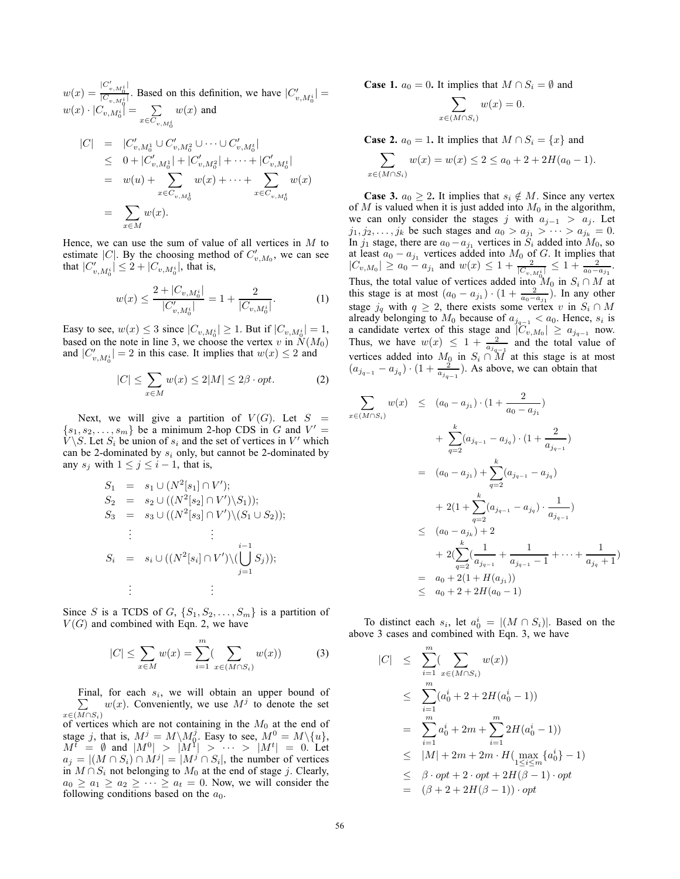$$
w(x) = \frac{|C'_{v,M_0^i}|}{|C_{v,M_0^i}|}. \text{ Based on this definition, we have } |C'_{v,M_0^i}| = w(x) \cdot |C_{v,M_0^i}| = \sum_{x \in C_{v,M_0^i}} w(x) \text{ and}
$$
  

$$
|C| = |C'_{v,M_0^1} \cup C'_{v,M_0^2} \cup \dots \cup C'_{v,M_0^i}|
$$
  

$$
\leq 0 + |C'_{v,M_0^1}| + |C'_{v,M_0^2}| + \dots + |C'_{v,M_0^i}|
$$
  

$$
= w(u) + \sum_{x \in C_{v,M_0^1}} w(x) + \dots + \sum_{x \in C_{v,M_0^i}} w(x)
$$
  

$$
= \sum_{x \in M} w(x).
$$

Hence, we can use the sum of value of all vertices in  $M$  to estimate |C|. By the choosing method of  $C'_{v,M_0}$ , we can see that  $|C'_{v,M_0^i}| \leq 2 + |C_{v,M_0^i}|$ , that is,

$$
w(x) \le \frac{2 + |C_{v,M_0^i}|}{|C'_{v,M_0^i}|} = 1 + \frac{2}{|C_{v,M_0^i}|}.
$$
 (1)

Easy to see,  $w(x) \le 3$  since  $|C_{v,M_0^i}| \ge 1$ . But if  $|C_{v,M_0^i}| = 1$ , based on the note in line 3, we choose the vertex v in  $N(M_0)$ and  $|C'_{v,M_0^i}| = 2$  in this case. It implies that  $w(x) \le 2$  and

$$
|C| \le \sum_{x \in M} w(x) \le 2|M| \le 2\beta \cdot opt. \tag{2}
$$

Next, we will give a partition of  $V(G)$ . Let  $S =$  $\{s_1, s_2, \ldots, s_m\}$  be a minimum 2-hop CDS in G and  $V' =$  $V \setminus S$ . Let  $S_i$  be union of  $s_i$  and the set of vertices in  $V'$  which can be 2-dominated by  $s_i$  only, but cannot be 2-dominated by any  $s_j$  with  $1 \leq j \leq i-1$ , that is,

$$
S_1 = s_1 \cup (N^2[s_1] \cap V');
$$
  
\n
$$
S_2 = s_2 \cup ((N^2[s_2] \cap V') \setminus S_1));
$$
  
\n
$$
S_3 = s_3 \cup ((N^2[s_3] \cap V') \setminus (S_1 \cup S_2));
$$
  
\n
$$
\vdots \qquad \vdots
$$
  
\n
$$
S_i = s_i \cup ((N^2[s_i] \cap V') \setminus (\bigcup_{j=1}^{i-1} S_j));
$$
  
\n
$$
\vdots \qquad \vdots
$$

Since S is a TCDS of G,  $\{S_1, S_2, \ldots, S_m\}$  is a partition of  $V(G)$  and combined with Eqn. 2, we have

$$
|C| \le \sum_{x \in M} w(x) = \sum_{i=1}^{m} (\sum_{x \in (M \cap S_i)} w(x))
$$
 (3)

Final, for each  $s_i$ , we will obtain an upper bound of  $\sum_{i=1}^{\infty} w(x)$ . Conveniently, we use  $M^{j}$  to denote the set  $x\in (M\cap S_i)$ 

of vertices which are not containing in the  $M_0$  at the end of stage j, that is,  $M^j = M\backslash M_0^j$ . Easy to see,  $M^0 = M\backslash \{u\}$ ,  $M^{\tilde{t}} = \emptyset$  and  $|M^0| > |M^{\tilde{t}}| > \cdots > |M^t| = 0$ . Let  $a_j = |(M \cap S_i) \cap M^j| = |M^j \cap S_i|$ , the number of vertices in  $M \cap S_i$  not belonging to  $M_0$  at the end of stage j. Clearly,  $a_0 \ge a_1 \ge a_2 \ge \cdots \ge a_t = 0$ . Now, we will consider the following conditions based on the  $a_0$ .

**Case 1.**  $a_0 = 0$ . It implies that  $M \cap S_i = \emptyset$  and

$$
\sum_{x \in (M \cap S_i)} w(x) = 0.
$$

**Case 2.**  $a_0 = 1$ . It implies that  $M \cap S_i = \{x\}$  and

$$
\sum_{x \in (M \cap S_i)} w(x) = w(x) \le 2 \le a_0 + 2 + 2H(a_0 - 1).
$$

**Case 3.**  $a_0 \geq 2$ . It implies that  $s_i \notin M$ . Since any vertex of M is valued when it is just added into  $M_0$  in the algorithm, we can only consider the stages j with  $a_{j-1} > a_j$ . Let  $j_1, j_2,...,j_k$  be such stages and  $a_0 > a_{j_1} > \cdots > a_{j_k} = 0$ . In  $j_1$  stage, there are  $a_0 - a_{j_1}$  vertices in  $S_i$  added into  $M_0$ , so at least  $a_0 - a_{j_1}$  vertices added into  $M_0$  of G. It implies that  $|C_{v,M_0}| \ge a_0 - a_{j_1}$  and  $w(x) \le 1 + \frac{2}{|C_{v,M_0}|} \le 1 + \frac{2}{a_0 - a_{j_1}}$ . Thus, the total value of vertices added into  $M_0$  in  $S_i \cap M$  at this stage is at most  $(a_0 - a_{j_1}) \cdot (1 + \frac{2}{a_0 - a_{j_1}})$ . In any other stage  $j_q$  with  $q \geq 2$ , there exists some vertex v in  $S_i \cap M$ already belonging to  $M_0$  because of  $a_{j_{q-1}} < a_0$ . Hence,  $s_i$  is a candidate vertex of this stage and  $|C_{v,M_0}| \ge a_{j_{q-1}}$  now. Thus, we have  $w(x) \leq 1 + \frac{2}{a_{i_{q-1}}}$  and the total value of vertices added into  $M_0$  in  $S_i \cap M$  at this stage is at most  $(a_{j_{q-1}} - a_{j_q}) \cdot (1 + \frac{2}{a_{j_{q-1}}} )$ . As above, we can obtain that

$$
\sum_{x \in (M \cap S_i)} w(x) \le (a_0 - a_{j_1}) \cdot (1 + \frac{2}{a_0 - a_{j_1}})
$$
  
+ 
$$
\sum_{q=2}^k (a_{j_{q-1}} - a_{j_q}) \cdot (1 + \frac{2}{a_{j_{q-1}}})
$$
  
= 
$$
(a_0 - a_{j_1}) + \sum_{q=2}^k (a_{j_{q-1}} - a_{j_q})
$$
  
+ 
$$
2(1 + \sum_{q=2}^k (a_{j_{q-1}} - a_{j_q}) \cdot \frac{1}{a_{j_{q-1}}})
$$
  

$$
\le (a_0 - a_{j_k}) + 2
$$
  
+ 
$$
2(\sum_{q=2}^k (\frac{1}{a_{j_{q-1}}} + \frac{1}{a_{j_{q-1}} - 1} + \dots + \frac{1}{a_{j_q} + 1})
$$
  
= 
$$
a_0 + 2(1 + H(a_{j_1}))
$$
  

$$
\le a_0 + 2 + 2H(a_0 - 1)
$$

To distinct each  $s_i$ , let  $a_0^i = |(M \cap S_i)|$ . Based on the above 3 cases and combined with Eqn. 3, we have

$$
|C| \leq \sum_{i=1}^{m} (\sum_{x \in (M \cap S_i)} w(x))
$$
  
\n
$$
\leq \sum_{i=1}^{m} (a_0^i + 2 + 2H(a_0^i - 1))
$$
  
\n
$$
= \sum_{i=1}^{m} a_0^i + 2m + \sum_{i=1}^{m} 2H(a_0^i - 1))
$$
  
\n
$$
\leq |M| + 2m + 2m \cdot H(\max_{1 \leq i \leq m} \{a_0^i\} - 1)
$$
  
\n
$$
\leq \beta \cdot opt + 2 \cdot opt + 2H(\beta - 1) \cdot opt
$$
  
\n
$$
= (\beta + 2 + 2H(\beta - 1)) \cdot opt
$$